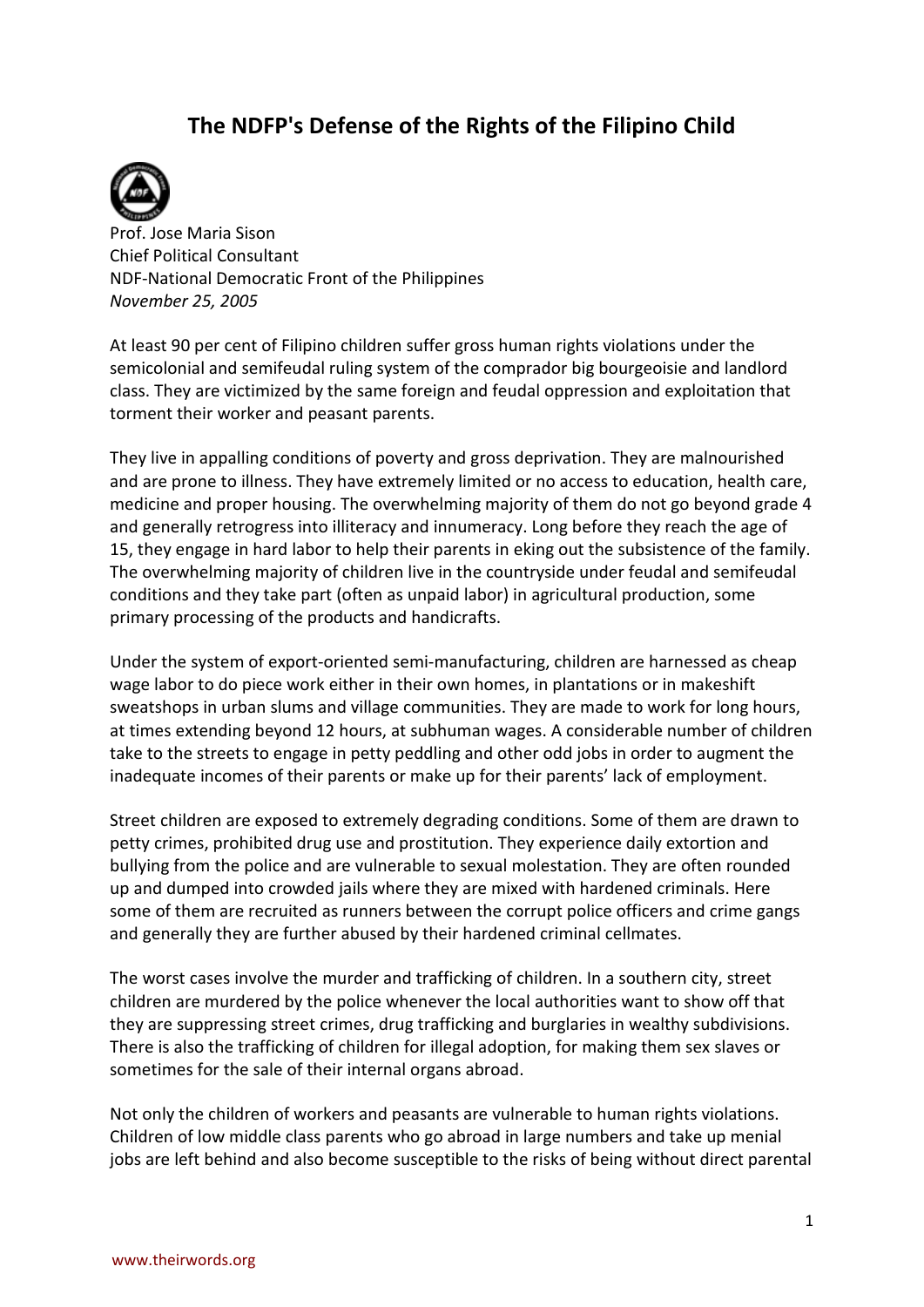## **The NDFP's Defense of the Rights of the Filipino Child**



Prof. Jose Maria Sison Chief Political Consultant NDF-National Democratic Front of the Philippines *November 25, 2005*

At least 90 per cent of Filipino children suffer gross human rights violations under the semicolonial and semifeudal ruling system of the comprador big bourgeoisie and landlord class. They are victimized by the same foreign and feudal oppression and exploitation that torment their worker and peasant parents.

They live in appalling conditions of poverty and gross deprivation. They are malnourished and are prone to illness. They have extremely limited or no access to education, health care, medicine and proper housing. The overwhelming majority of them do not go beyond grade 4 and generally retrogress into illiteracy and innumeracy. Long before they reach the age of 15, they engage in hard labor to help their parents in eking out the subsistence of the family. The overwhelming majority of children live in the countryside under feudal and semifeudal conditions and they take part (often as unpaid labor) in agricultural production, some primary processing of the products and handicrafts.

Under the system of export-oriented semi-manufacturing, children are harnessed as cheap wage labor to do piece work either in their own homes, in plantations or in makeshift sweatshops in urban slums and village communities. They are made to work for long hours, at times extending beyond 12 hours, at subhuman wages. A considerable number of children take to the streets to engage in petty peddling and other odd jobs in order to augment the inadequate incomes of their parents or make up for their parents' lack of employment.

Street children are exposed to extremely degrading conditions. Some of them are drawn to petty crimes, prohibited drug use and prostitution. They experience daily extortion and bullying from the police and are vulnerable to sexual molestation. They are often rounded up and dumped into crowded jails where they are mixed with hardened criminals. Here some of them are recruited as runners between the corrupt police officers and crime gangs and generally they are further abused by their hardened criminal cellmates.

The worst cases involve the murder and trafficking of children. In a southern city, street children are murdered by the police whenever the local authorities want to show off that they are suppressing street crimes, drug trafficking and burglaries in wealthy subdivisions. There is also the trafficking of children for illegal adoption, for making them sex slaves or sometimes for the sale of their internal organs abroad.

Not only the children of workers and peasants are vulnerable to human rights violations. Children of low middle class parents who go abroad in large numbers and take up menial jobs are left behind and also become susceptible to the risks of being without direct parental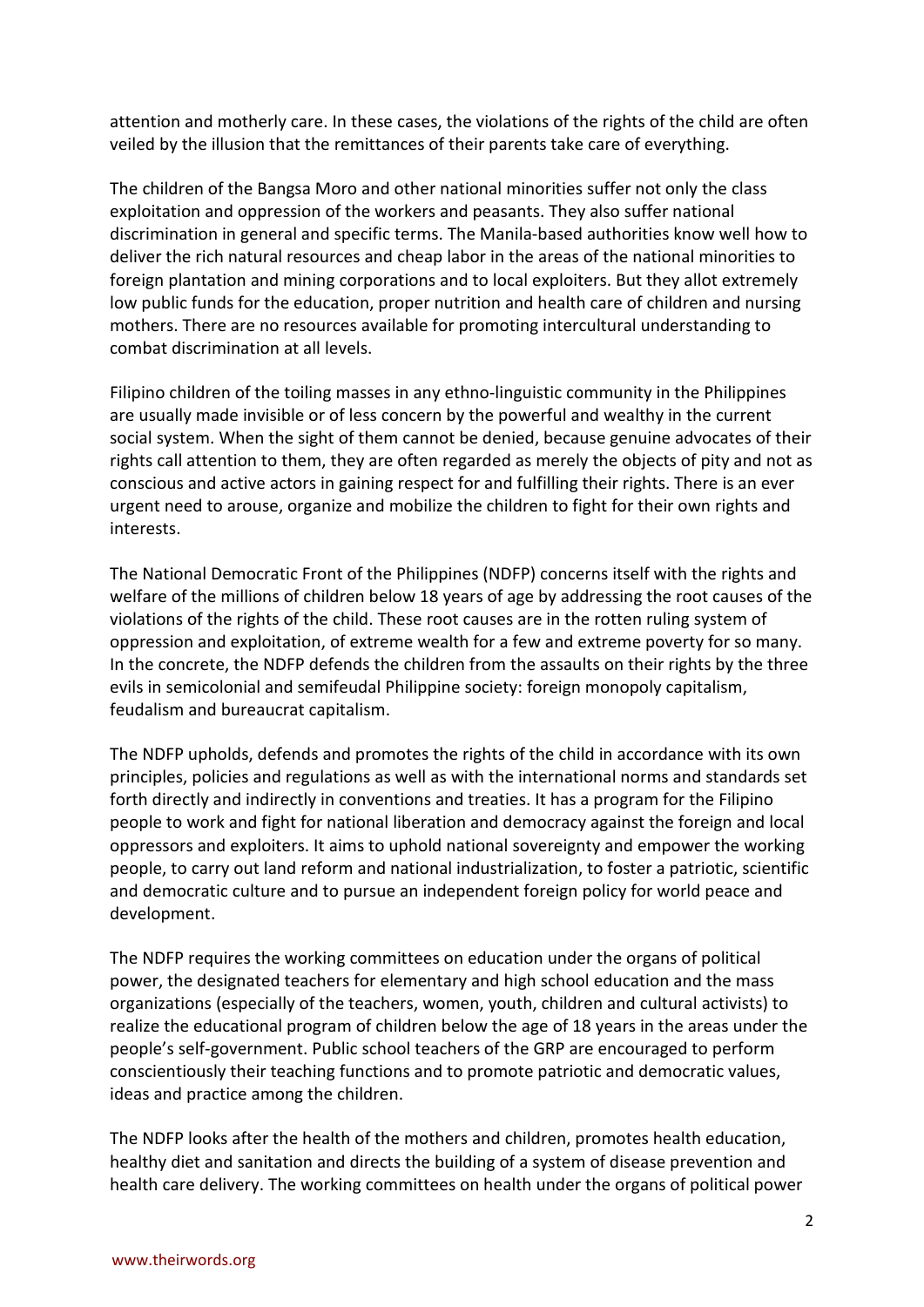attention and motherly care. In these cases, the violations of the rights of the child are often veiled by the illusion that the remittances of their parents take care of everything.

The children of the Bangsa Moro and other national minorities suffer not only the class exploitation and oppression of the workers and peasants. They also suffer national discrimination in general and specific terms. The Manila-based authorities know well how to deliver the rich natural resources and cheap labor in the areas of the national minorities to foreign plantation and mining corporations and to local exploiters. But they allot extremely low public funds for the education, proper nutrition and health care of children and nursing mothers. There are no resources available for promoting intercultural understanding to combat discrimination at all levels.

Filipino children of the toiling masses in any ethno-linguistic community in the Philippines are usually made invisible or of less concern by the powerful and wealthy in the current social system. When the sight of them cannot be denied, because genuine advocates of their rights call attention to them, they are often regarded as merely the objects of pity and not as conscious and active actors in gaining respect for and fulfilling their rights. There is an ever urgent need to arouse, organize and mobilize the children to fight for their own rights and interests.

The National Democratic Front of the Philippines (NDFP) concerns itself with the rights and welfare of the millions of children below 18 years of age by addressing the root causes of the violations of the rights of the child. These root causes are in the rotten ruling system of oppression and exploitation, of extreme wealth for a few and extreme poverty for so many. In the concrete, the NDFP defends the children from the assaults on their rights by the three evils in semicolonial and semifeudal Philippine society: foreign monopoly capitalism, feudalism and bureaucrat capitalism.

The NDFP upholds, defends and promotes the rights of the child in accordance with its own principles, policies and regulations as well as with the international norms and standards set forth directly and indirectly in conventions and treaties. It has a program for the Filipino people to work and fight for national liberation and democracy against the foreign and local oppressors and exploiters. It aims to uphold national sovereignty and empower the working people, to carry out land reform and national industrialization, to foster a patriotic, scientific and democratic culture and to pursue an independent foreign policy for world peace and development.

The NDFP requires the working committees on education under the organs of political power, the designated teachers for elementary and high school education and the mass organizations (especially of the teachers, women, youth, children and cultural activists) to realize the educational program of children below the age of 18 years in the areas under the people's self-government. Public school teachers of the GRP are encouraged to perform conscientiously their teaching functions and to promote patriotic and democratic values, ideas and practice among the children.

The NDFP looks after the health of the mothers and children, promotes health education, healthy diet and sanitation and directs the building of a system of disease prevention and health care delivery. The working committees on health under the organs of political power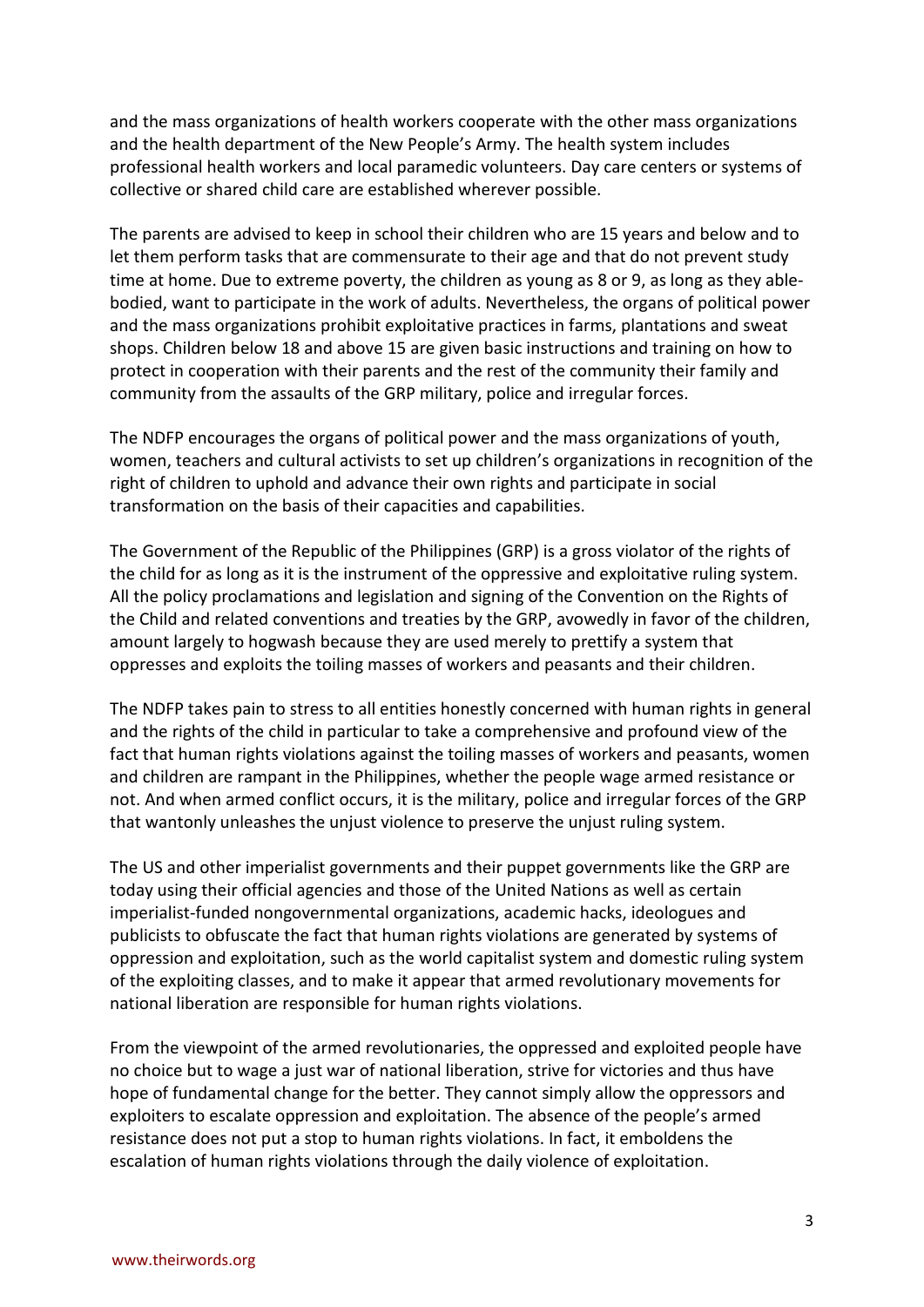and the mass organizations of health workers cooperate with the other mass organizations and the health department of the New People's Army. The health system includes professional health workers and local paramedic volunteers. Day care centers or systems of collective or shared child care are established wherever possible.

The parents are advised to keep in school their children who are 15 years and below and to let them perform tasks that are commensurate to their age and that do not prevent study time at home. Due to extreme poverty, the children as young as 8 or 9, as long as they ablebodied, want to participate in the work of adults. Nevertheless, the organs of political power and the mass organizations prohibit exploitative practices in farms, plantations and sweat shops. Children below 18 and above 15 are given basic instructions and training on how to protect in cooperation with their parents and the rest of the community their family and community from the assaults of the GRP military, police and irregular forces.

The NDFP encourages the organs of political power and the mass organizations of youth, women, teachers and cultural activists to set up children's organizations in recognition of the right of children to uphold and advance their own rights and participate in social transformation on the basis of their capacities and capabilities.

The Government of the Republic of the Philippines (GRP) is a gross violator of the rights of the child for as long as it is the instrument of the oppressive and exploitative ruling system. All the policy proclamations and legislation and signing of the Convention on the Rights of the Child and related conventions and treaties by the GRP, avowedly in favor of the children, amount largely to hogwash because they are used merely to prettify a system that oppresses and exploits the toiling masses of workers and peasants and their children.

The NDFP takes pain to stress to all entities honestly concerned with human rights in general and the rights of the child in particular to take a comprehensive and profound view of the fact that human rights violations against the toiling masses of workers and peasants, women and children are rampant in the Philippines, whether the people wage armed resistance or not. And when armed conflict occurs, it is the military, police and irregular forces of the GRP that wantonly unleashes the unjust violence to preserve the unjust ruling system.

The US and other imperialist governments and their puppet governments like the GRP are today using their official agencies and those of the United Nations as well as certain imperialist-funded nongovernmental organizations, academic hacks, ideologues and publicists to obfuscate the fact that human rights violations are generated by systems of oppression and exploitation, such as the world capitalist system and domestic ruling system of the exploiting classes, and to make it appear that armed revolutionary movements for national liberation are responsible for human rights violations.

From the viewpoint of the armed revolutionaries, the oppressed and exploited people have no choice but to wage a just war of national liberation, strive for victories and thus have hope of fundamental change for the better. They cannot simply allow the oppressors and exploiters to escalate oppression and exploitation. The absence of the people's armed resistance does not put a stop to human rights violations. In fact, it emboldens the escalation of human rights violations through the daily violence of exploitation.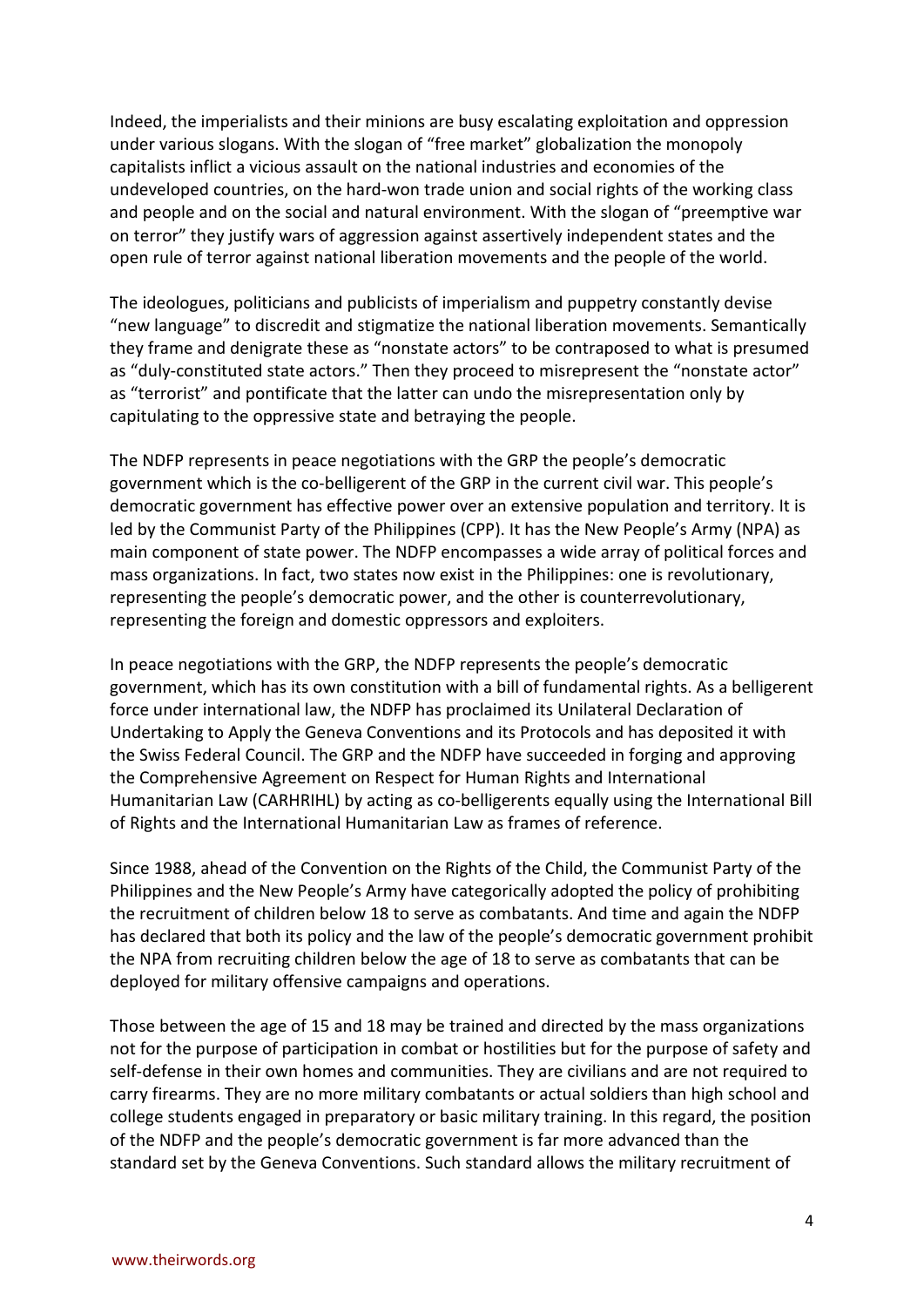Indeed, the imperialists and their minions are busy escalating exploitation and oppression under various slogans. With the slogan of "free market" globalization the monopoly capitalists inflict a vicious assault on the national industries and economies of the undeveloped countries, on the hard-won trade union and social rights of the working class and people and on the social and natural environment. With the slogan of "preemptive war on terror" they justify wars of aggression against assertively independent states and the open rule of terror against national liberation movements and the people of the world.

The ideologues, politicians and publicists of imperialism and puppetry constantly devise "new language" to discredit and stigmatize the national liberation movements. Semantically they frame and denigrate these as "nonstate actors" to be contraposed to what is presumed as "duly-constituted state actors." Then they proceed to misrepresent the "nonstate actor" as "terrorist" and pontificate that the latter can undo the misrepresentation only by capitulating to the oppressive state and betraying the people.

The NDFP represents in peace negotiations with the GRP the people's democratic government which is the co-belligerent of the GRP in the current civil war. This people's democratic government has effective power over an extensive population and territory. It is led by the Communist Party of the Philippines (CPP). It has the New People's Army (NPA) as main component of state power. The NDFP encompasses a wide array of political forces and mass organizations. In fact, two states now exist in the Philippines: one is revolutionary, representing the people's democratic power, and the other is counterrevolutionary, representing the foreign and domestic oppressors and exploiters.

In peace negotiations with the GRP, the NDFP represents the people's democratic government, which has its own constitution with a bill of fundamental rights. As a belligerent force under international law, the NDFP has proclaimed its Unilateral Declaration of Undertaking to Apply the Geneva Conventions and its Protocols and has deposited it with the Swiss Federal Council. The GRP and the NDFP have succeeded in forging and approving the Comprehensive Agreement on Respect for Human Rights and International Humanitarian Law (CARHRIHL) by acting as co-belligerents equally using the International Bill of Rights and the International Humanitarian Law as frames of reference.

Since 1988, ahead of the Convention on the Rights of the Child, the Communist Party of the Philippines and the New People's Army have categorically adopted the policy of prohibiting the recruitment of children below 18 to serve as combatants. And time and again the NDFP has declared that both its policy and the law of the people's democratic government prohibit the NPA from recruiting children below the age of 18 to serve as combatants that can be deployed for military offensive campaigns and operations.

Those between the age of 15 and 18 may be trained and directed by the mass organizations not for the purpose of participation in combat or hostilities but for the purpose of safety and self-defense in their own homes and communities. They are civilians and are not required to carry firearms. They are no more military combatants or actual soldiers than high school and college students engaged in preparatory or basic military training. In this regard, the position of the NDFP and the people's democratic government is far more advanced than the standard set by the Geneva Conventions. Such standard allows the military recruitment of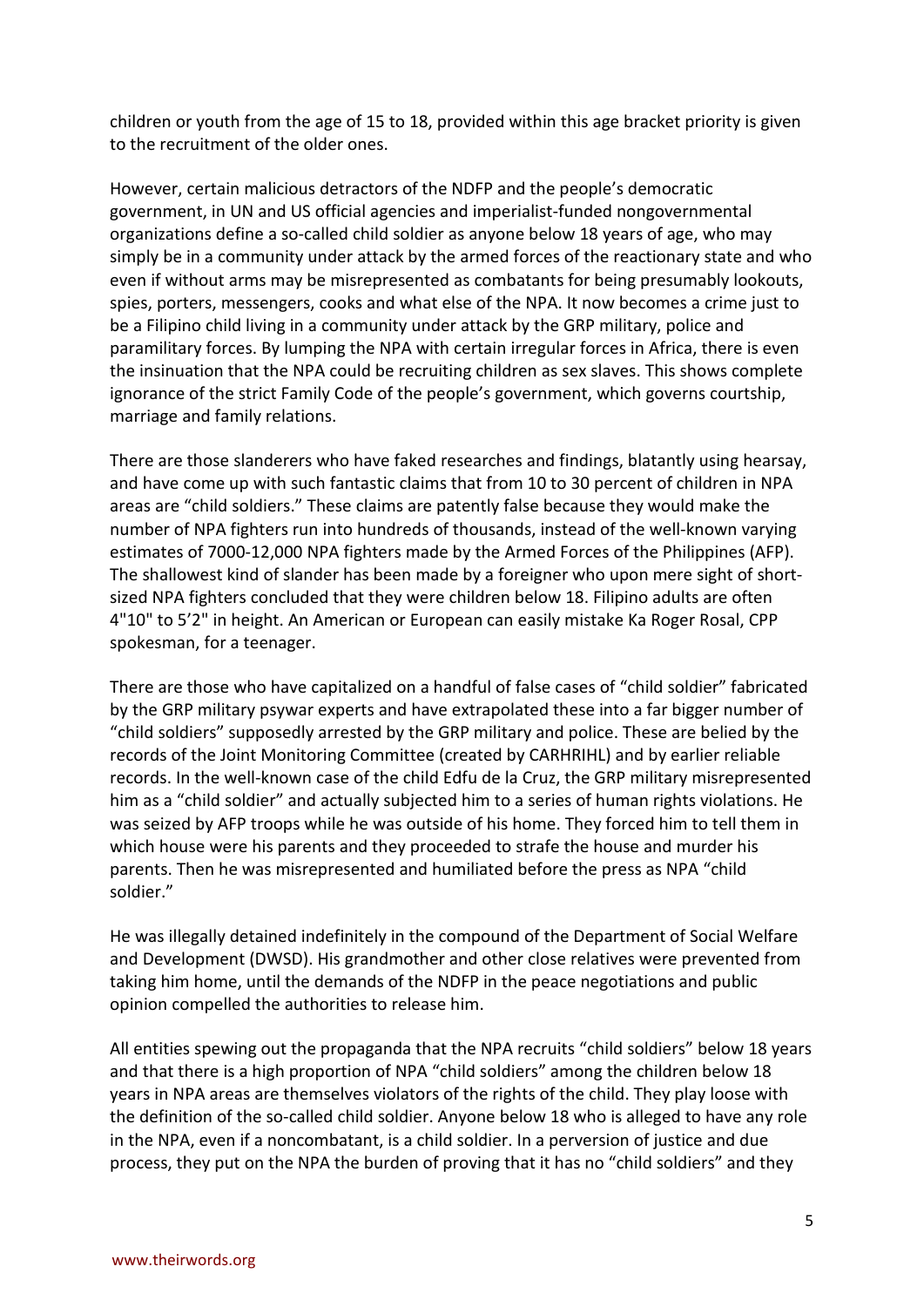children or youth from the age of 15 to 18, provided within this age bracket priority is given to the recruitment of the older ones.

However, certain malicious detractors of the NDFP and the people's democratic government, in UN and US official agencies and imperialist-funded nongovernmental organizations define a so-called child soldier as anyone below 18 years of age, who may simply be in a community under attack by the armed forces of the reactionary state and who even if without arms may be misrepresented as combatants for being presumably lookouts, spies, porters, messengers, cooks and what else of the NPA. It now becomes a crime just to be a Filipino child living in a community under attack by the GRP military, police and paramilitary forces. By lumping the NPA with certain irregular forces in Africa, there is even the insinuation that the NPA could be recruiting children as sex slaves. This shows complete ignorance of the strict Family Code of the people's government, which governs courtship, marriage and family relations.

There are those slanderers who have faked researches and findings, blatantly using hearsay, and have come up with such fantastic claims that from 10 to 30 percent of children in NPA areas are "child soldiers." These claims are patently false because they would make the number of NPA fighters run into hundreds of thousands, instead of the well-known varying estimates of 7000-12,000 NPA fighters made by the Armed Forces of the Philippines (AFP). The shallowest kind of slander has been made by a foreigner who upon mere sight of shortsized NPA fighters concluded that they were children below 18. Filipino adults are often 4"10" to 5'2" in height. An American or European can easily mistake Ka Roger Rosal, CPP spokesman, for a teenager.

There are those who have capitalized on a handful of false cases of "child soldier" fabricated by the GRP military psywar experts and have extrapolated these into a far bigger number of "child soldiers" supposedly arrested by the GRP military and police. These are belied by the records of the Joint Monitoring Committee (created by CARHRIHL) and by earlier reliable records. In the well-known case of the child Edfu de la Cruz, the GRP military misrepresented him as a "child soldier" and actually subjected him to a series of human rights violations. He was seized by AFP troops while he was outside of his home. They forced him to tell them in which house were his parents and they proceeded to strafe the house and murder his parents. Then he was misrepresented and humiliated before the press as NPA "child soldier."

He was illegally detained indefinitely in the compound of the Department of Social Welfare and Development (DWSD). His grandmother and other close relatives were prevented from taking him home, until the demands of the NDFP in the peace negotiations and public opinion compelled the authorities to release him.

All entities spewing out the propaganda that the NPA recruits "child soldiers" below 18 years and that there is a high proportion of NPA "child soldiers" among the children below 18 years in NPA areas are themselves violators of the rights of the child. They play loose with the definition of the so-called child soldier. Anyone below 18 who is alleged to have any role in the NPA, even if a noncombatant, is a child soldier. In a perversion of justice and due process, they put on the NPA the burden of proving that it has no "child soldiers" and they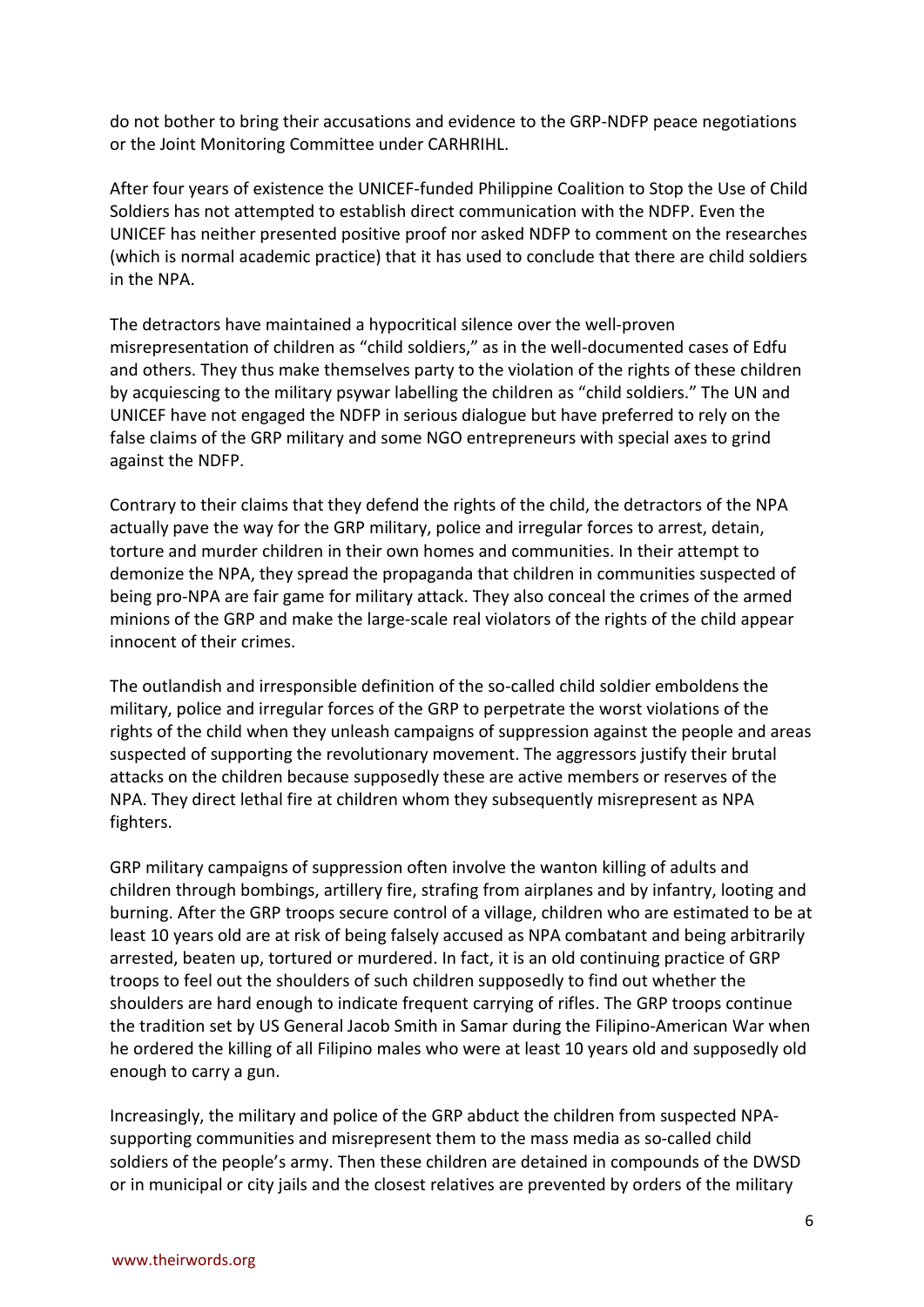do not bother to bring their accusations and evidence to the GRP-NDFP peace negotiations or the Joint Monitoring Committee under CARHRIHL.

After four years of existence the UNICEF-funded Philippine Coalition to Stop the Use of Child Soldiers has not attempted to establish direct communication with the NDFP. Even the UNICEF has neither presented positive proof nor asked NDFP to comment on the researches (which is normal academic practice) that it has used to conclude that there are child soldiers in the NPA.

The detractors have maintained a hypocritical silence over the well-proven misrepresentation of children as "child soldiers," as in the well-documented cases of Edfu and others. They thus make themselves party to the violation of the rights of these children by acquiescing to the military psywar labelling the children as "child soldiers." The UN and UNICEF have not engaged the NDFP in serious dialogue but have preferred to rely on the false claims of the GRP military and some NGO entrepreneurs with special axes to grind against the NDFP.

Contrary to their claims that they defend the rights of the child, the detractors of the NPA actually pave the way for the GRP military, police and irregular forces to arrest, detain, torture and murder children in their own homes and communities. In their attempt to demonize the NPA, they spread the propaganda that children in communities suspected of being pro-NPA are fair game for military attack. They also conceal the crimes of the armed minions of the GRP and make the large-scale real violators of the rights of the child appear innocent of their crimes.

The outlandish and irresponsible definition of the so-called child soldier emboldens the military, police and irregular forces of the GRP to perpetrate the worst violations of the rights of the child when they unleash campaigns of suppression against the people and areas suspected of supporting the revolutionary movement. The aggressors justify their brutal attacks on the children because supposedly these are active members or reserves of the NPA. They direct lethal fire at children whom they subsequently misrepresent as NPA fighters.

GRP military campaigns of suppression often involve the wanton killing of adults and children through bombings, artillery fire, strafing from airplanes and by infantry, looting and burning. After the GRP troops secure control of a village, children who are estimated to be at least 10 years old are at risk of being falsely accused as NPA combatant and being arbitrarily arrested, beaten up, tortured or murdered. In fact, it is an old continuing practice of GRP troops to feel out the shoulders of such children supposedly to find out whether the shoulders are hard enough to indicate frequent carrying of rifles. The GRP troops continue the tradition set by US General Jacob Smith in Samar during the Filipino-American War when he ordered the killing of all Filipino males who were at least 10 years old and supposedly old enough to carry a gun.

Increasingly, the military and police of the GRP abduct the children from suspected NPAsupporting communities and misrepresent them to the mass media as so-called child soldiers of the people's army. Then these children are detained in compounds of the DWSD or in municipal or city jails and the closest relatives are prevented by orders of the military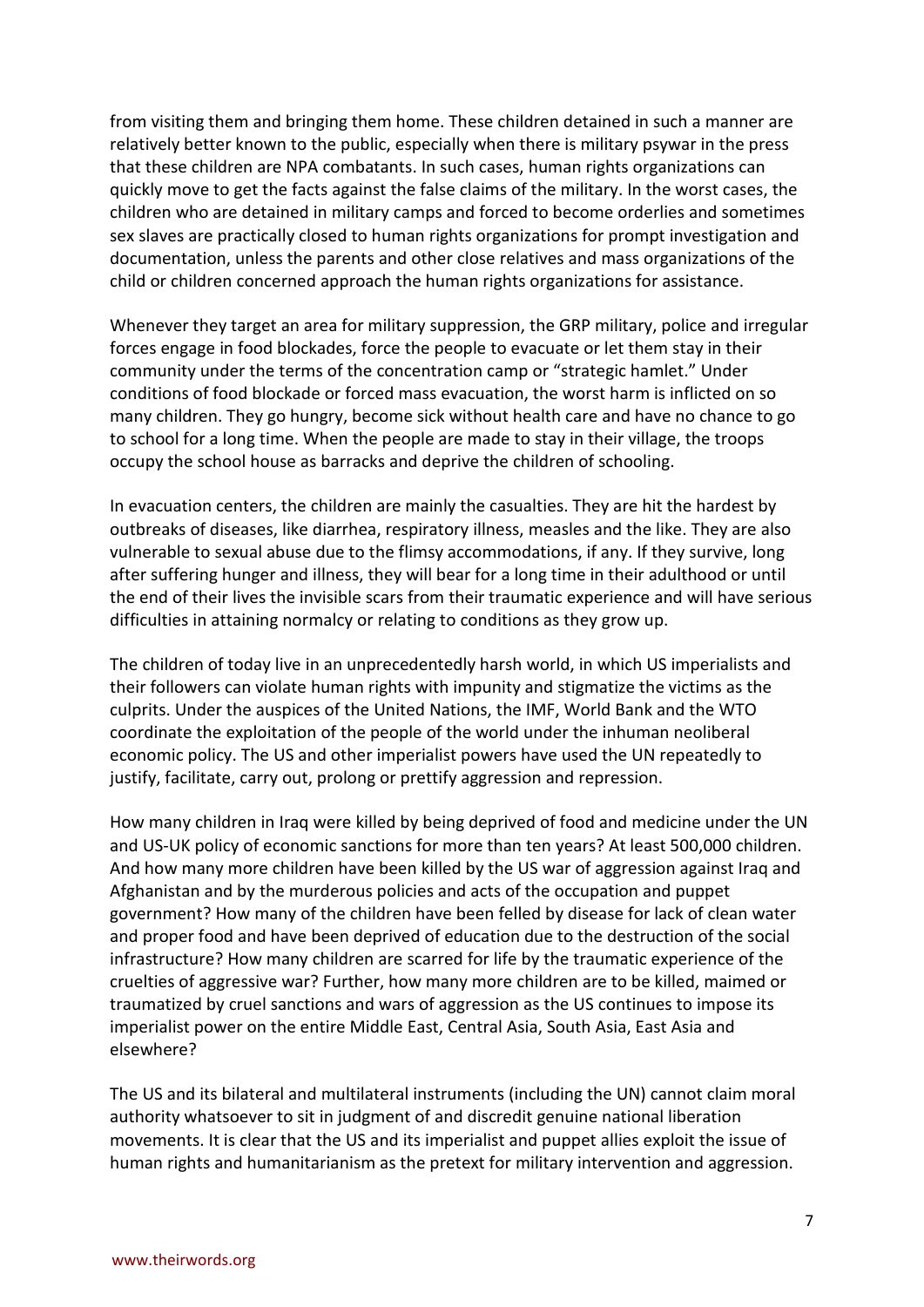from visiting them and bringing them home. These children detained in such a manner are relatively better known to the public, especially when there is military psywar in the press that these children are NPA combatants. In such cases, human rights organizations can quickly move to get the facts against the false claims of the military. In the worst cases, the children who are detained in military camps and forced to become orderlies and sometimes sex slaves are practically closed to human rights organizations for prompt investigation and documentation, unless the parents and other close relatives and mass organizations of the child or children concerned approach the human rights organizations for assistance.

Whenever they target an area for military suppression, the GRP military, police and irregular forces engage in food blockades, force the people to evacuate or let them stay in their community under the terms of the concentration camp or "strategic hamlet." Under conditions of food blockade or forced mass evacuation, the worst harm is inflicted on so many children. They go hungry, become sick without health care and have no chance to go to school for a long time. When the people are made to stay in their village, the troops occupy the school house as barracks and deprive the children of schooling.

In evacuation centers, the children are mainly the casualties. They are hit the hardest by outbreaks of diseases, like diarrhea, respiratory illness, measles and the like. They are also vulnerable to sexual abuse due to the flimsy accommodations, if any. If they survive, long after suffering hunger and illness, they will bear for a long time in their adulthood or until the end of their lives the invisible scars from their traumatic experience and will have serious difficulties in attaining normalcy or relating to conditions as they grow up.

The children of today live in an unprecedentedly harsh world, in which US imperialists and their followers can violate human rights with impunity and stigmatize the victims as the culprits. Under the auspices of the United Nations, the IMF, World Bank and the WTO coordinate the exploitation of the people of the world under the inhuman neoliberal economic policy. The US and other imperialist powers have used the UN repeatedly to justify, facilitate, carry out, prolong or prettify aggression and repression.

How many children in Iraq were killed by being deprived of food and medicine under the UN and US-UK policy of economic sanctions for more than ten years? At least 500,000 children. And how many more children have been killed by the US war of aggression against Iraq and Afghanistan and by the murderous policies and acts of the occupation and puppet government? How many of the children have been felled by disease for lack of clean water and proper food and have been deprived of education due to the destruction of the social infrastructure? How many children are scarred for life by the traumatic experience of the cruelties of aggressive war? Further, how many more children are to be killed, maimed or traumatized by cruel sanctions and wars of aggression as the US continues to impose its imperialist power on the entire Middle East, Central Asia, South Asia, East Asia and elsewhere?

The US and its bilateral and multilateral instruments (including the UN) cannot claim moral authority whatsoever to sit in judgment of and discredit genuine national liberation movements. It is clear that the US and its imperialist and puppet allies exploit the issue of human rights and humanitarianism as the pretext for military intervention and aggression.